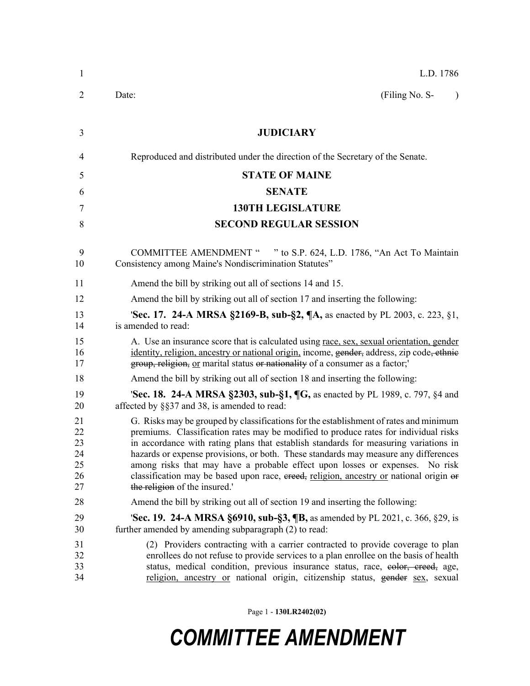| 1                                      | L.D. 1786                                                                                                                                                                                                                                                                                                                                                                                                                                                                                                                                                              |
|----------------------------------------|------------------------------------------------------------------------------------------------------------------------------------------------------------------------------------------------------------------------------------------------------------------------------------------------------------------------------------------------------------------------------------------------------------------------------------------------------------------------------------------------------------------------------------------------------------------------|
| 2                                      | (Filing No. S-<br>Date:                                                                                                                                                                                                                                                                                                                                                                                                                                                                                                                                                |
| 3                                      | <b>JUDICIARY</b>                                                                                                                                                                                                                                                                                                                                                                                                                                                                                                                                                       |
| 4                                      | Reproduced and distributed under the direction of the Secretary of the Senate.                                                                                                                                                                                                                                                                                                                                                                                                                                                                                         |
| 5                                      | <b>STATE OF MAINE</b>                                                                                                                                                                                                                                                                                                                                                                                                                                                                                                                                                  |
| 6                                      | <b>SENATE</b>                                                                                                                                                                                                                                                                                                                                                                                                                                                                                                                                                          |
| 7                                      | <b>130TH LEGISLATURE</b>                                                                                                                                                                                                                                                                                                                                                                                                                                                                                                                                               |
| 8                                      | <b>SECOND REGULAR SESSION</b>                                                                                                                                                                                                                                                                                                                                                                                                                                                                                                                                          |
| 9<br>10                                | COMMITTEE AMENDMENT " " to S.P. 624, L.D. 1786, "An Act To Maintain<br>Consistency among Maine's Nondiscrimination Statutes"                                                                                                                                                                                                                                                                                                                                                                                                                                           |
| 11                                     | Amend the bill by striking out all of sections 14 and 15.                                                                                                                                                                                                                                                                                                                                                                                                                                                                                                              |
| 12                                     | Amend the bill by striking out all of section 17 and inserting the following:                                                                                                                                                                                                                                                                                                                                                                                                                                                                                          |
| 13<br>14                               | 'Sec. 17. 24-A MRSA §2169-B, sub-§2, ¶A, as enacted by PL 2003, c. 223, §1,<br>is amended to read:                                                                                                                                                                                                                                                                                                                                                                                                                                                                     |
| 15<br>16<br>17                         | A. Use an insurance score that is calculated using race, sex, sexual orientation, gender<br>identity, religion, ancestry or national origin, income, gender, address, zip code, ethnic<br>group, religion, or marital status or nationality of a consumer as a factor;                                                                                                                                                                                                                                                                                                 |
| 18                                     | Amend the bill by striking out all of section 18 and inserting the following:                                                                                                                                                                                                                                                                                                                                                                                                                                                                                          |
| 19<br>20                               | 'Sec. 18. 24-A MRSA §2303, sub-§1, ¶G, as enacted by PL 1989, c. 797, §4 and<br>affected by §§37 and 38, is amended to read:                                                                                                                                                                                                                                                                                                                                                                                                                                           |
| 21<br>22<br>23<br>24<br>25<br>26<br>27 | G. Risks may be grouped by classifications for the establishment of rates and minimum<br>premiums. Classification rates may be modified to produce rates for individual risks<br>in accordance with rating plans that establish standards for measuring variations in<br>hazards or expense provisions, or both. These standards may measure any differences<br>among risks that may have a probable effect upon losses or expenses. No risk<br>classification may be based upon race, ereed, religion, ancestry or national origin or<br>the religion of the insured. |
| 28                                     | Amend the bill by striking out all of section 19 and inserting the following:                                                                                                                                                                                                                                                                                                                                                                                                                                                                                          |
| 29<br>30                               | <b>Sec. 19. 24-A MRSA §6910, sub-§3, ¶B, as amended by PL 2021, c. 366, §29, is</b><br>further amended by amending subparagraph (2) to read:                                                                                                                                                                                                                                                                                                                                                                                                                           |
| 31<br>32<br>33<br>34                   | (2) Providers contracting with a carrier contracted to provide coverage to plan<br>enrollees do not refuse to provide services to a plan enrollee on the basis of health<br>status, medical condition, previous insurance status, race, eolor, creed, age,<br>religion, ancestry or national origin, citizenship status, gender sex, sexual                                                                                                                                                                                                                            |

Page 1 - **130LR2402(02)**

## *COMMITTEE AMENDMENT*